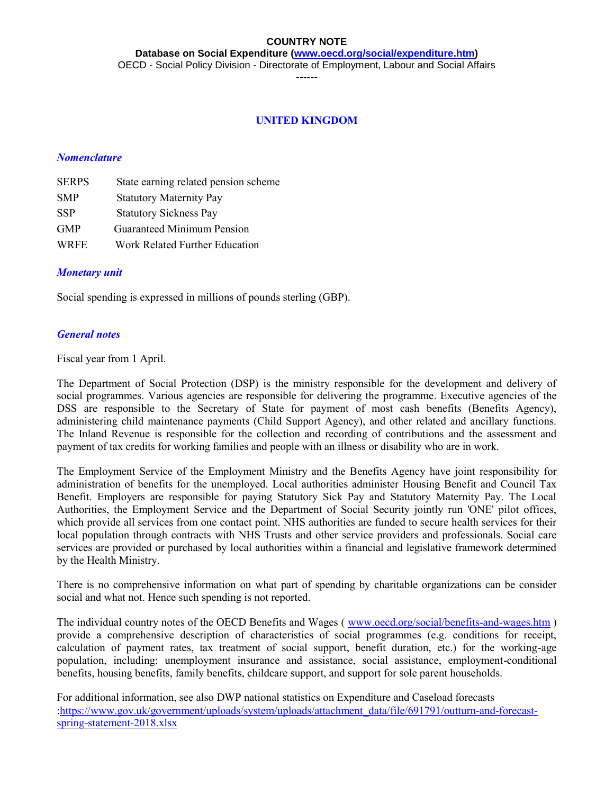**Database on Social Expenditure [\(www.oecd.org/social/expenditure.htm\)](http://www.oecd.org/social/expenditure.htm)** OECD - Social Policy Division - Directorate of Employment, Labour and Social Affairs

------

#### **UNITED KINGDOM**

#### *Nomenclature*

| <b>SERPS</b> | State earning related pension scheme |
|--------------|--------------------------------------|
| <b>SMP</b>   | <b>Statutory Maternity Pay</b>       |
| <b>SSP</b>   | <b>Statutory Sickness Pay</b>        |
| <b>GMP</b>   | <b>Guaranteed Minimum Pension</b>    |
| <b>WRFE</b>  | Work Related Further Education       |

#### *Monetary unit*

Social spending is expressed in millions of pounds sterling (GBP).

#### *General notes*

Fiscal year from 1 April.

The Department of Social Protection (DSP) is the ministry responsible for the development and delivery of social programmes. Various agencies are responsible for delivering the programme. Executive agencies of the DSS are responsible to the Secretary of State for payment of most cash benefits (Benefits Agency), administering child maintenance payments (Child Support Agency), and other related and ancillary functions. The Inland Revenue is responsible for the collection and recording of contributions and the assessment and payment of tax credits for working families and people with an illness or disability who are in work.

The Employment Service of the Employment Ministry and the Benefits Agency have joint responsibility for administration of benefits for the unemployed. Local authorities administer Housing Benefit and Council Tax Benefit. Employers are responsible for paying Statutory Sick Pay and Statutory Maternity Pay. The Local Authorities, the Employment Service and the Department of Social Security jointly run 'ONE' pilot offices, which provide all services from one contact point. NHS authorities are funded to secure health services for their local population through contracts with NHS Trusts and other service providers and professionals. Social care services are provided or purchased by local authorities within a financial and legislative framework determined by the Health Ministry.

There is no comprehensive information on what part of spending by charitable organizations can be consider social and what not. Hence such spending is not reported.

The individual country notes of the OECD Benefits and Wages ( [www.oecd.org/social/benefits-and-wages.htm](http://www.oecd.org/social/benefits-and-wages.htm) ) provide a comprehensive description of characteristics of social programmes (e.g. conditions for receipt, calculation of payment rates, tax treatment of social support, benefit duration, etc.) for the working-age population, including: unemployment insurance and assistance, social assistance, employment-conditional benefits, housing benefits, family benefits, childcare support, and support for sole parent households.

For additional information, see also DWP national statistics on Expenditure and Caseload forecasts [:https://www.gov.uk/government/uploads/system/uploads/attachment\\_data/file/691791/outturn-and-forecast](https://www.gov.uk/government/uploads/system/uploads/attachment_data/file/691791/outturn-and-forecast-spring-statement-2018.xlsx)[spring-statement-2018.xlsx](https://www.gov.uk/government/uploads/system/uploads/attachment_data/file/691791/outturn-and-forecast-spring-statement-2018.xlsx)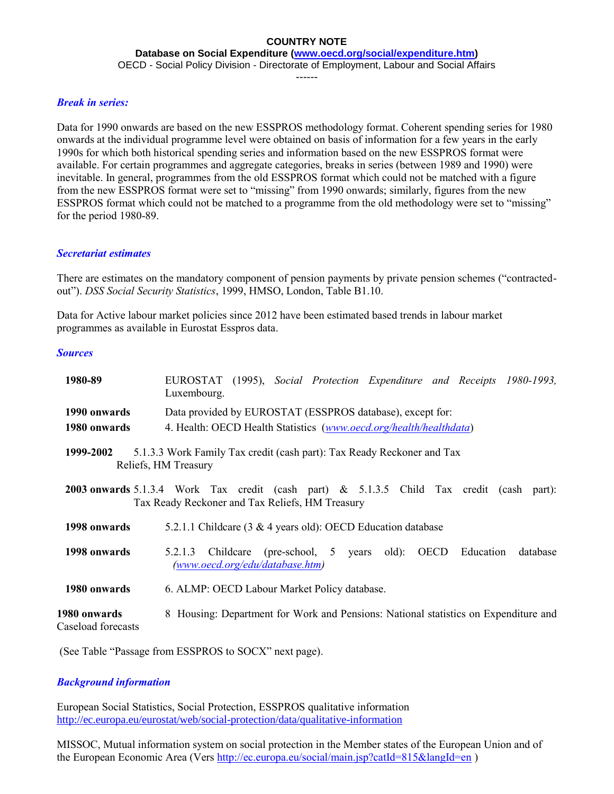**Database on Social Expenditure [\(www.oecd.org/social/expenditure.htm\)](http://www.oecd.org/social/expenditure.htm)**

OECD - Social Policy Division - Directorate of Employment, Labour and Social Affairs

------

#### *Break in series:*

Data for 1990 onwards are based on the new ESSPROS methodology format. Coherent spending series for 1980 onwards at the individual programme level were obtained on basis of information for a few years in the early 1990s for which both historical spending series and information based on the new ESSPROS format were available. For certain programmes and aggregate categories, breaks in series (between 1989 and 1990) were inevitable. In general, programmes from the old ESSPROS format which could not be matched with a figure from the new ESSPROS format were set to "missing" from 1990 onwards; similarly, figures from the new ESSPROS format which could not be matched to a programme from the old methodology were set to "missing" for the period 1980-89.

#### *Secretariat estimates*

There are estimates on the mandatory component of pension payments by private pension schemes ("contractedout"). *DSS Social Security Statistics*, 1999, HMSO, London, Table B1.10.

Data for Active labour market policies since 2012 have been estimated based trends in labour market programmes as available in Eurostat Esspros data.

#### *Sources*

| 1980-89                                                                                                                                                                                           | EUROSTAT (1995), Social Protection Expenditure and Receipts 1980-1993,<br>Luxembourg.                         |  |  |  |  |  |  |
|---------------------------------------------------------------------------------------------------------------------------------------------------------------------------------------------------|---------------------------------------------------------------------------------------------------------------|--|--|--|--|--|--|
| Data provided by EUROSTAT (ESSPROS database), except for:<br>1990 onwards                                                                                                                         |                                                                                                               |  |  |  |  |  |  |
| 4. Health: OECD Health Statistics (www.oecd.org/health/healthdata)<br>1980 onwards<br>5.1.3.3 Work Family Tax credit (cash part): Tax Ready Reckoner and Tax<br>1999-2002<br>Reliefs, HM Treasury |                                                                                                               |  |  |  |  |  |  |
| 2003 onwards 5.1.3.4 Work Tax credit (cash part) & 5.1.3.5 Child Tax credit (cash part):<br>Tax Ready Reckoner and Tax Reliefs, HM Treasury                                                       |                                                                                                               |  |  |  |  |  |  |
| 1998 onwards                                                                                                                                                                                      | 5.2.1.1 Childcare (3 & 4 years old): OECD Education database                                                  |  |  |  |  |  |  |
| 1998 onwards                                                                                                                                                                                      | 5.2.1.3 Childcare (pre-school, 5 years old): OECD<br>Education<br>database<br>(www.oecd.org/edu/database.htm) |  |  |  |  |  |  |
| 1980 onwards                                                                                                                                                                                      | 6. ALMP: OECD Labour Market Policy database.                                                                  |  |  |  |  |  |  |
| 1980 onwards<br>Caseload forecasts                                                                                                                                                                | 8 Housing: Department for Work and Pensions: National statistics on Expenditure and                           |  |  |  |  |  |  |

(See Table "Passage from ESSPROS to SOCX" next page).

# *Background information*

European Social Statistics, Social Protection, ESSPROS qualitative information <http://ec.europa.eu/eurostat/web/social-protection/data/qualitative-information>

MISSOC, Mutual information system on social protection in the Member states of the European Union and of the European Economic Area (Vers<http://ec.europa.eu/social/main.jsp?catId=815&langId=en>)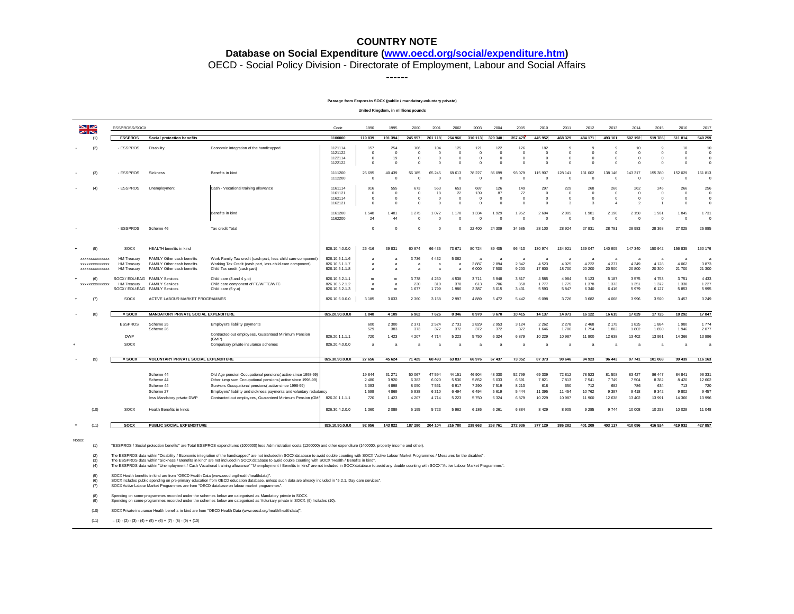#### **Database on Social Expenditure [\(www.oecd.org/social/expenditure.htm\)](http://www.oecd.org/social/expenditure.htm)**

OECD - Social Policy Division - Directorate of Employment, Labour and Social Affairs

------

#### **Passage from Esspros to SOCX (public / mandatory-voluntary private)**

**United Kingdom, in millions pounds**

| ◛<br><b>ZIN</b>                                        | ESSPROSS/SOCX                                           |                                                                                        |                                                                                                                                                            | Code                                               | 1990                                            | 1995                                    | 2000                                      | 2001                                         | 2002                                    | 2003                                       | 2004                              | 2005                                  | 2010                                          | 2011                                        | 2012                                           | 2013                                          | 2014                                                    | 2015                                               | 2016                                      | 2017                                                     |
|--------------------------------------------------------|---------------------------------------------------------|----------------------------------------------------------------------------------------|------------------------------------------------------------------------------------------------------------------------------------------------------------|----------------------------------------------------|-------------------------------------------------|-----------------------------------------|-------------------------------------------|----------------------------------------------|-----------------------------------------|--------------------------------------------|-----------------------------------|---------------------------------------|-----------------------------------------------|---------------------------------------------|------------------------------------------------|-----------------------------------------------|---------------------------------------------------------|----------------------------------------------------|-------------------------------------------|----------------------------------------------------------|
| (1)                                                    | <b>ESSPROS</b>                                          | <b>Social protection benefits</b>                                                      |                                                                                                                                                            | 1100000                                            | 119 839                                         | 191 394                                 | 245 957                                   | 261 118                                      | 264 960                                 | 310 113                                    | 329 340                           | 357 479                               | 445 952                                       | 468 329                                     | 484 171                                        | 493 101                                       | 502 192                                                 | 519 785                                            | 511 814                                   | 540 259                                                  |
| (2)                                                    | - ESSPROS                                               | Disability                                                                             | Economic integration of the handicapped                                                                                                                    | 1121114<br>1121122<br>1122114<br>1122122           | 157<br>$\overline{0}$<br>$\Omega$<br>$^{\circ}$ | 254<br>$\Omega$<br>19<br>$\Omega$       | 106<br>$^{\circ}$<br>$\Omega$<br>$\Omega$ | 104<br>$\overline{0}$<br>$\circ$<br>$\Omega$ | 125<br>$\circ$<br>$\Omega$<br>$\Omega$  | 121<br>$\mathbf 0$<br>$\Omega$<br>$\Omega$ | 122<br>$\Omega$<br>$\Omega$       | 126<br>$\circ$<br>$\Omega$<br>$\circ$ | 182<br>$\overline{0}$<br>$\Omega$<br>$\Omega$ | $\Omega$<br>$\Omega$<br>$\Omega$            | $\alpha$<br>$^{\circ}$<br>$\Omega$<br>$\Omega$ | $\alpha$<br>$\Omega$<br>$\Omega$<br>O         | 10<br>$\mathbf 0$<br>$\Omega$<br>O                      | $\alpha$<br>$\overline{0}$<br>$\Omega$<br>$\Omega$ | 10<br>$\Omega$<br>$\Omega$<br>$\Omega$    | 10<br>$\overline{0}$<br>$\overline{0}$<br>$\overline{0}$ |
| (3)                                                    | - ESSPROS                                               | Sickness                                                                               | Benefits in kind                                                                                                                                           | 1111200<br>1112200                                 | 25 6 95<br>$\Omega$                             | 40 439<br>$\Omega$                      | 56 185<br>$\sqrt{ }$                      | 65 245<br>$\Omega$                           | 68 613<br>$\Omega$                      | 78 227<br>$\Omega$                         | 86 099<br>$\Omega$                | 93 079<br>$\Omega$                    | 115 907<br>$\Omega$                           | 128 141                                     | 131 002<br>$\Omega$                            | 138.<br>146<br>$\Omega$                       | 143 317<br>O                                            | 155 380<br>$\Omega$                                | 152 029<br>$\Omega$                       | 161 813<br>$\Omega$                                      |
| (4)                                                    | - ESSPROS                                               | Unemployment                                                                           | Cash - Vocational training allowance                                                                                                                       | 1161114<br>1161121<br>1162114<br>1162121           | 916<br>$\sqrt{2}$<br>$\Omega$<br>$\Omega$       | 555<br>$\Omega$<br>$\Omega$<br>$\Omega$ | 673<br>$\Omega$<br>$\Omega$<br>$\Omega$   | 563<br>18<br>$\circ$<br>$\Omega$             | 653<br>22<br>$\Omega$<br>$\Omega$       | 687<br>139<br>$\Omega$<br>$\Omega$         | 126<br>87<br>$\Omega$<br>$\Omega$ | 149<br>72<br>$\Omega$<br>$\Omega$     | 297<br>$\Omega$<br>$\Omega$<br>$\Omega$       | 229<br>$\Omega$<br>$\Omega$<br>$\mathbf{z}$ | 268<br>$\circ$<br>$\Omega$<br>$\overline{3}$   | 266<br>$\Omega$<br>$\Omega$<br>$\overline{A}$ | 262<br>$\Omega$<br>$\Omega$<br>$\overline{\phantom{a}}$ | 245<br>$\circ$<br>$\overline{0}$                   | 266<br>$\sqrt{2}$<br>$\Omega$<br>$\Omega$ | 256<br>$\overline{0}$<br>$\circ$<br>$\overline{0}$       |
|                                                        |                                                         |                                                                                        | Benefits in kind                                                                                                                                           | 1161200<br>1162200                                 | 1 5 4 8<br>24                                   | 1 481<br>44                             | 1 2 7 5<br>$\sqrt{2}$                     | 1 0 7 2<br>$\Omega$                          | 1 170<br>$\Omega$                       | 1 3 3 4                                    | 1929<br>$\Omega$                  | 1952<br>$\Omega$                      | 2604<br>$\sqrt{2}$                            | 2 0 0 5                                     | 1981<br>$\Omega$                               | 2 1 9 0<br>$\sqrt{2}$                         | 2 1 5 0                                                 | 1 9 3 1<br>$\sqrt{2}$                              | 1845<br>$\sqrt{2}$                        | 1 7 3 1<br>$\Omega$                                      |
|                                                        | - ESSPROS                                               | Scheme 46                                                                              | Tax credit Total                                                                                                                                           |                                                    | $\Omega$                                        | $\Omega$                                | -0                                        | $\Omega$                                     | $\Omega$                                | 22 400                                     | 24 30 9                           | 34 585                                | 28 100                                        | 28 9 24                                     | 27 931                                         | 28 781                                        | 28 983                                                  | 28 368                                             | 27 025                                    | 25 885                                                   |
| (5)                                                    | SOCX                                                    | HEALTH benefits in kind                                                                |                                                                                                                                                            | 826.10.4.0.0.0                                     | 26 416                                          | 39 831                                  | 60 974                                    | 66 435                                       | 73 671                                  | 80 724                                     | 89 40 5                           | 96 413                                | 130 974                                       | 134 921                                     | 139 047                                        | 140 905                                       | 147 340                                                 | 150 942                                            | 156 835                                   | 160 176                                                  |
| XXXXXXXXXXXXX<br><b>XXXXXXXXXXXXX</b><br>XXXXXXXXXXXXX | HM Treasury<br><b>HM Treasury</b><br><b>HM Treasury</b> | FAMILY Other cash benefits<br>FAMILY Other cash benefits<br>FAMILY Other cash benefits | Work Family Tax credit (cash part, less child care component)<br>Working Tax Credit (cash part, less child care component)<br>Child Tax credit (cash part) | 826.10.5.1.1.6<br>826.10.5.1.1.7<br>826.10.5.1.1.8 | a<br>$\overline{a}$<br>$\overline{a}$           | $\overline{a}$<br>$\overline{a}$        | 3736                                      | 4 4 3 2<br>$\overline{a}$<br>$\overline{a}$  | 5 0 6 2<br>$\mathbf{a}$<br>$\mathbf{a}$ | а<br>2887<br>6 0 0 0                       | 2894<br>7500                      | a<br>2842<br>9 200                    | a<br>4 5 2 3<br>17800                         | $\overline{a}$<br>4 0 2 5<br>18 700         | a<br>4 2 2 2<br>20 200                         | a<br>4 2 7 7<br>20 500                        | я<br>4 3 4 9<br>20 800                                  | a<br>4 1 2 8<br>20 300                             | a<br>4 0 6 2<br>21 700                    | a<br>3873<br>21 300                                      |
| (6)<br>XXXXXXXXXXXXX                                   | <b>HM Treasury</b><br>SOCX / EDU-EAG FAMILY Services    | SOCX / EDU-EAG FAMILY Services<br><b>FAMILY Services</b>                               | Child care (3 and 4 y.o)<br>Child care component of FC/WFTC/WTC<br>Child care (5 y.o)                                                                      | 826.10.5.2.1.1<br>826.10.5.2.1.2<br>826.10.5.2.1.3 | m<br>a<br>m                                     | m<br>$\overline{a}$<br>m                | 3778<br>230<br>1677                       | 4 2 5 0<br>310<br>1799                       | 4538<br>370<br>1986                     | 3711<br>613<br>2 3 8 7                     | 3 9 4 8<br>706<br>3 0 1 5         | 3817<br>858<br>3 4 3 1                | 4 5 8 5<br>1777<br>5 5 9 3                    | 4 9 8 4<br>1775<br>5 8 4 7                  | 5 1 2 3<br>1 3 7 8<br>6 3 4 0                  | 5 1 8 7<br>1 3 7 3<br>6416                    | 3575<br>1 3 5 1<br>5979                                 | 4 7 5 3<br>1 3 7 2<br>6 1 2 7                      | 3751<br>1 3 3 8<br>5853                   | 4 4 3 3<br>1 2 2 7<br>5 9 9 5                            |
| (7)                                                    | SOCX                                                    | ACTIVE LABOUR MARKET PROGRAMMES                                                        |                                                                                                                                                            | 826.10.6.0.0.0                                     | 3 1 8 5                                         | 3 0 3 3                                 | 2 3 6 0                                   | 3 1 5 8                                      | 2 9 9 7                                 | 4889                                       | 5 4 7 2                           | 5 4 4 2                               | 6 0 9 8                                       | 3726                                        | 3682                                           | 4 0 6 8                                       | 3 9 9 6                                                 | 3 5 9 0                                            | 3 4 5 7                                   | 3 2 4 9                                                  |
| (8)                                                    | $=$ SOCX                                                | <b>MANDATORY PRIVATE SOCIAL EXPENDITURE</b>                                            |                                                                                                                                                            | 826.20.90.0.0.0                                    | 1848                                            | 4 1 0 9                                 | 6962                                      | 7626                                         | 8 3 4 6                                 | 8970                                       | 9 670                             | 10 415                                | 14 137                                        | 14 971                                      | 16 122                                         | 16 615                                        | 17 029                                                  | 17725                                              | 18 29 2                                   | 17847                                                    |
|                                                        | <b>ESSPROS</b>                                          | Scheme 25<br>Scheme 26                                                                 | Employer's liability payments                                                                                                                              |                                                    | 600<br>529                                      | 2 3 0 0<br>383                          | 2 3 7 1<br>373                            | 2 5 2 4<br>372                               | 2 7 3 1<br>372                          | 2829<br>372                                | 2 9 5 3<br>372                    | 3 1 2 4<br>372                        | 2 2 6 2<br>1 646                              | 2 2 7 8<br>1706                             | 2 4 6 8<br>1 7 5 4                             | 2 1 7 5<br>1802                               | 1825<br>1802                                            | 1884<br>1850                                       | 1980<br>1946                              | 1 774<br>2 0 7 7                                         |
|                                                        | <b>DWP</b>                                              |                                                                                        | Contracted-out employees, Guaranteed Minimum Pension<br>(GMP)                                                                                              | 826.20.1.1.1.1                                     | 720                                             | 1 4 2 3                                 | 4 2 0 7                                   | 4 7 1 4                                      | 5 2 2 3                                 | 5750                                       | 6 3 2 4                           | 6879                                  | 10 229                                        | 10 987                                      | 11 900                                         | 12 638                                        | 13 40 2                                                 | 13 991                                             | 14 3 66                                   | 13 996                                                   |
|                                                        | SOCX                                                    |                                                                                        | Compulsory private insurance schemes                                                                                                                       | 826.20.4.0.0.0                                     | $\overline{a}$                                  |                                         |                                           |                                              |                                         |                                            |                                   | a                                     |                                               |                                             |                                                | a                                             |                                                         |                                                    |                                           | $\overline{a}$                                           |
|                                                        | $=$ SOCX                                                | VOLUNTARY PRIVATE SOCIAL EXPENDITURE                                                   |                                                                                                                                                            | 826.30.90.0.0.0                                    | 27 656                                          | 45 624                                  | 71 425                                    | 68 493                                       | 63 837                                  | 66 976                                     | 67 437                            | 73 052                                | 87 373                                        | 90 646                                      | 94 923                                         | 96 443                                        | 97 741                                                  | 101 068                                            | 99 439                                    | 116 163                                                  |
|                                                        |                                                         |                                                                                        |                                                                                                                                                            |                                                    |                                                 |                                         |                                           |                                              |                                         |                                            |                                   |                                       |                                               |                                             |                                                |                                               |                                                         |                                                    |                                           |                                                          |
|                                                        |                                                         | Scheme 44<br>Scheme 44                                                                 | Old Age pension Occupational pensions(active since 1998-99)<br>Other lump sum Occupational pensions (active since 1998-99)                                 |                                                    | 19844<br>2 4 8 0                                | 31 271<br>3 9 2 0                       | 50 067<br>6 3 8 2                         | 47 5 94<br>6 0 20                            | 44 151<br>5 5 3 6                       | 46 904<br>5852                             | 48 330<br>6 0 3 3                 | 52 799<br>6 5 9 1                     | 69 339<br>7821                                | 72 812<br>7813                              | 78 523<br>7 5 4 1                              | 81 508<br>7749                                | 83 427<br>7 5 0 4                                       | 86 447<br>8 3 8 2                                  | 84 841<br>8 4 2 0                         | 96 331<br>12 602                                         |
|                                                        |                                                         | Scheme 44                                                                              | Survivors Occupational pensions (active since 1998-99)                                                                                                     |                                                    | 3 0 9 3                                         | 4898                                    | 8 0 5 0                                   | 7 5 6 1                                      | 6917                                    | 7 2 9 0                                    | 7519                              | 8 2 1 3                               | 618                                           | 650                                         | 712                                            | 682                                           | 786                                                     | 634                                                | 713                                       | 720                                                      |
|                                                        |                                                         | Scheme 27                                                                              | Employers' liability and sickness payments and voluntary redudancy                                                                                         |                                                    | 1 5 9 9                                         | 4869                                    | 5938                                      | 6310                                         | 6 4 9 4                                 | 6494                                       | 5 6 1 9                           | 5 4 4 4                               | 11 3 9 5                                      | 11 454                                      | 10762                                          | 9 3 9 7                                       | 9418                                                    | 9 3 4 2                                            | 9802                                      | 9 4 5 7                                                  |
| (10)                                                   | SOCX                                                    | less Mandatory private DWP<br>Health Benefits in kinds                                 | Contracted-out employees, Guaranteed Minimum Pension (GMF                                                                                                  | 826.20.1.1.1.1<br>826.30.4.2.0.0                   | 720<br>1 3 6 0                                  | 1 4 2 3<br>2 0 8 9                      | 4 2 0 7<br>5 1 9 5                        | 4 7 1 4<br>5 7 2 3                           | 5 2 2 3<br>5962                         | 5750<br>6 18 6                             | 6 3 2 4<br>6 2 6 1                | 6879<br>6884                          | 10 229<br>8 4 2 9                             | 10 987<br>8 9 0 5                           | 11 900<br>9 2 8 5                              | 12 638<br>9 7 4 4                             | 13 40 2<br>10 008                                       | 13 991<br>10 253                                   | 14 3 66<br>10 0 29                        | 13 996<br>11 048                                         |
|                                                        |                                                         |                                                                                        |                                                                                                                                                            |                                                    |                                                 |                                         |                                           |                                              |                                         |                                            |                                   |                                       |                                               |                                             |                                                |                                               |                                                         |                                                    |                                           |                                                          |
| (11)                                                   | SOCX                                                    | PUBLIC SOCIAL EXPENDITURE                                                              |                                                                                                                                                            | 826.10.90.0.0.0                                    | 92 956                                          | 143 822                                 | 187 280                                   | 204 104                                      | 216 780                                 | 238 663                                    | 258 761                           | 272 936                               | 377 129                                       | 386 282                                     | 401 209                                        | 403 117                                       | 410 096                                                 | 416 524                                            | 419 932                                   | 427 857                                                  |

(1) "ESSPROS / Social protection benefits" are Total ESSPROS expenditures (1000000) less Administration costs (1200000) and other expenditure (1400000, property income and other).

(2) The ESSPROS data within "Disability / Economic integration of the handicapped" are not included in SOCX database to avoid double counting with SOCX "Active Labour Market Programmes / Measures for the disabled".<br>(3) The

(5) SOCX Health benefits in kind are from "OECD Health Data (www.oecd.org/health/healthdata)".

(6) SOCX includes public spending on pre-primary education from OECD education database, unless such data are already included in "5.2.1. Day care services".<br>(7) SOCX Active Labour Market Programmes are from "OECD database

SOCX Active Labour Market Programmes are from "OECD database on labour market programmes".

(8) Spending on some programmes recorded under the schemes below are categorised as Mandatory private in SOCX.

(9) Spending on some programmes recorded under the schemes below are categorised as Voluntary private in SOCX. (9) Includes (10).

(10) SOCX Private insurance Health benefits in kind are from "OECD Health Data (www.oecd.org/health/healthdata)".

(11)  $=(1)-(2)-(3)-(4)+(5)+(6)+(7)-(8)-(9)+(10)$ 

Notes: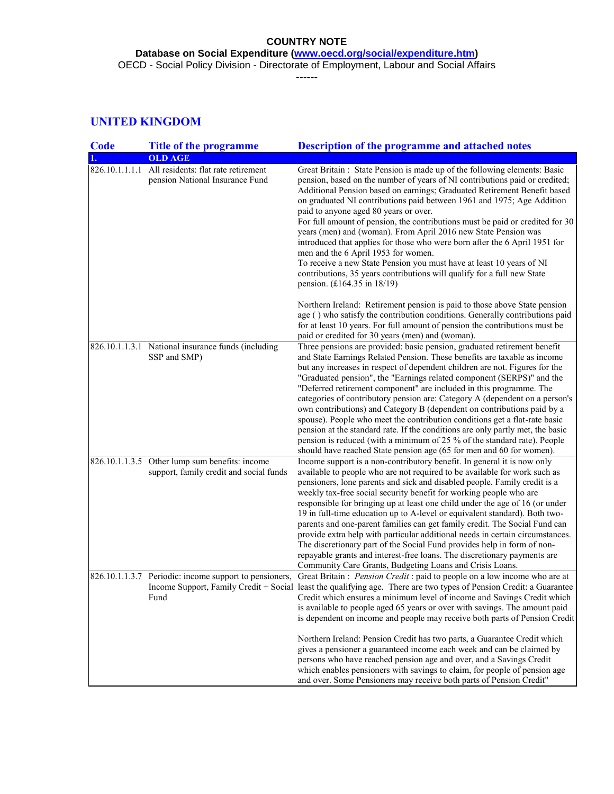**Database on Social Expenditure [\(www.oecd.org/social/expenditure.htm\)](http://www.oecd.org/social/expenditure.htm)** OECD - Social Policy Division - Directorate of Employment, Labour and Social Affairs

------

# **UNITED KINGDOM**

| <b>Code</b>    | <b>Title of the programme</b>                                                             | <b>Description of the programme and attached notes</b>                                                                                                                                                                                                                                                                                                                                                                                                                                                                                                                                                                                                                                                                                                                                                                                                                          |  |  |  |  |  |  |
|----------------|-------------------------------------------------------------------------------------------|---------------------------------------------------------------------------------------------------------------------------------------------------------------------------------------------------------------------------------------------------------------------------------------------------------------------------------------------------------------------------------------------------------------------------------------------------------------------------------------------------------------------------------------------------------------------------------------------------------------------------------------------------------------------------------------------------------------------------------------------------------------------------------------------------------------------------------------------------------------------------------|--|--|--|--|--|--|
|                | <b>OLD AGE</b>                                                                            |                                                                                                                                                                                                                                                                                                                                                                                                                                                                                                                                                                                                                                                                                                                                                                                                                                                                                 |  |  |  |  |  |  |
| 826.10.1.1.1.1 | All residents: flat rate retirement<br>pension National Insurance Fund                    | Great Britain: State Pension is made up of the following elements: Basic<br>pension, based on the number of years of NI contributions paid or credited;<br>Additional Pension based on earnings; Graduated Retirement Benefit based<br>on graduated NI contributions paid between 1961 and 1975; Age Addition<br>paid to anyone aged 80 years or over.<br>For full amount of pension, the contributions must be paid or credited for 30<br>years (men) and (woman). From April 2016 new State Pension was<br>introduced that applies for those who were born after the 6 April 1951 for<br>men and the 6 April 1953 for women.<br>To receive a new State Pension you must have at least 10 years of NI<br>contributions, 35 years contributions will qualify for a full new State<br>pension. $(£164.35 \text{ in } 18/19)$                                                     |  |  |  |  |  |  |
|                |                                                                                           | Northern Ireland: Retirement pension is paid to those above State pension<br>age () who satisfy the contribution conditions. Generally contributions paid<br>for at least 10 years. For full amount of pension the contributions must be<br>paid or credited for 30 years (men) and (woman).                                                                                                                                                                                                                                                                                                                                                                                                                                                                                                                                                                                    |  |  |  |  |  |  |
|                | 826.10.1.1.3.1 National insurance funds (including<br>SSP and SMP)                        | Three pensions are provided: basic pension, graduated retirement benefit<br>and State Earnings Related Pension. These benefits are taxable as income<br>but any increases in respect of dependent children are not. Figures for the<br>"Graduated pension", the "Earnings related component (SERPS)" and the<br>"Deferred retirement component" are included in this programme. The<br>categories of contributory pension are: Category A (dependent on a person's<br>own contributions) and Category B (dependent on contributions paid by a<br>spouse). People who meet the contribution conditions get a flat-rate basic<br>pension at the standard rate. If the conditions are only partly met, the basic<br>pension is reduced (with a minimum of 25 % of the standard rate). People<br>should have reached State pension age (65 for men and 60 for women).               |  |  |  |  |  |  |
|                | 826.10.1.1.3.5 Other lump sum benefits: income<br>support, family credit and social funds | Income support is a non-contributory benefit. In general it is now only<br>available to people who are not required to be available for work such as<br>pensioners, lone parents and sick and disabled people. Family credit is a<br>weekly tax-free social security benefit for working people who are<br>responsible for bringing up at least one child under the age of 16 (or under<br>19 in full-time education up to A-level or equivalent standard). Both two-<br>parents and one-parent families can get family credit. The Social Fund can<br>provide extra help with particular additional needs in certain circumstances.<br>The discretionary part of the Social Fund provides help in form of non-<br>repayable grants and interest-free loans. The discretionary payments are<br>Community Care Grants, Budgeting Loans and Crisis Loans.                         |  |  |  |  |  |  |
|                | Fund                                                                                      | 826.10.1.1.3.7 Periodic: income support to pensioners, Great Britain : Pension Credit : paid to people on a low income who are at<br>Income Support, Family Credit + Social least the qualifying age. There are two types of Pension Credit: a Guarantee<br>Credit which ensures a minimum level of income and Savings Credit which<br>is available to people aged 65 years or over with savings. The amount paid<br>is dependent on income and people may receive both parts of Pension Credit<br>Northern Ireland: Pension Credit has two parts, a Guarantee Credit which<br>gives a pensioner a guaranteed income each week and can be claimed by<br>persons who have reached pension age and over, and a Savings Credit<br>which enables pensioners with savings to claim, for people of pension age<br>and over. Some Pensioners may receive both parts of Pension Credit" |  |  |  |  |  |  |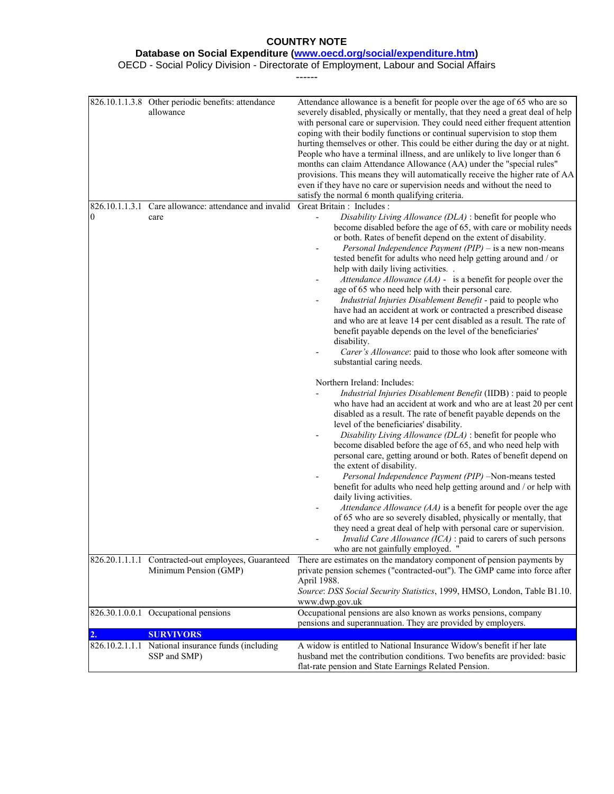#### **Database on Social Expenditure [\(www.oecd.org/social/expenditure.htm\)](http://www.oecd.org/social/expenditure.htm)**

OECD - Social Policy Division - Directorate of Employment, Labour and Social Affairs

------

|    | 826.10.1.1.3.8 Other periodic benefits: attendance<br>allowance | Attendance allowance is a benefit for people over the age of 65 who are so<br>severely disabled, physically or mentally, that they need a great deal of help<br>with personal care or supervision. They could need either frequent attention<br>coping with their bodily functions or continual supervision to stop them<br>hurting themselves or other. This could be either during the day or at night.<br>People who have a terminal illness, and are unlikely to live longer than 6<br>months can claim Attendance Allowance (AA) under the "special rules"<br>provisions. This means they will automatically receive the higher rate of AA<br>even if they have no care or supervision needs and without the need to<br>satisfy the normal 6 month qualifying criteria.                                                                                                                                                                                                                                                                                                                                                                                                                                                                                                                                                                                                                                                                                                                                                                                                                                                                                                                                                                                                                                                                                                                                    |
|----|-----------------------------------------------------------------|-----------------------------------------------------------------------------------------------------------------------------------------------------------------------------------------------------------------------------------------------------------------------------------------------------------------------------------------------------------------------------------------------------------------------------------------------------------------------------------------------------------------------------------------------------------------------------------------------------------------------------------------------------------------------------------------------------------------------------------------------------------------------------------------------------------------------------------------------------------------------------------------------------------------------------------------------------------------------------------------------------------------------------------------------------------------------------------------------------------------------------------------------------------------------------------------------------------------------------------------------------------------------------------------------------------------------------------------------------------------------------------------------------------------------------------------------------------------------------------------------------------------------------------------------------------------------------------------------------------------------------------------------------------------------------------------------------------------------------------------------------------------------------------------------------------------------------------------------------------------------------------------------------------------|
|    | 826.10.1.1.3.1 Care allowance: attendance and invalid           | Great Britain : Includes :                                                                                                                                                                                                                                                                                                                                                                                                                                                                                                                                                                                                                                                                                                                                                                                                                                                                                                                                                                                                                                                                                                                                                                                                                                                                                                                                                                                                                                                                                                                                                                                                                                                                                                                                                                                                                                                                                      |
| 0  | care                                                            | Disability Living Allowance (DLA) : benefit for people who<br>become disabled before the age of 65, with care or mobility needs<br>or both. Rates of benefit depend on the extent of disability.<br>Personal Independence Payment (PIP) – is a new non-means<br>tested benefit for adults who need help getting around and / or<br>help with daily living activities.<br>Attendance Allowance $(AA)$ - is a benefit for people over the<br>$\overline{\phantom{0}}$<br>age of 65 who need help with their personal care.<br>Industrial Injuries Disablement Benefit - paid to people who<br>have had an accident at work or contracted a prescribed disease<br>and who are at leave 14 per cent disabled as a result. The rate of<br>benefit payable depends on the level of the beneficiaries'<br>disability.<br>Carer's Allowance: paid to those who look after someone with<br>substantial caring needs.<br>Northern Ireland: Includes:<br>Industrial Injuries Disablement Benefit (IIDB) : paid to people<br>who have had an accident at work and who are at least 20 per cent<br>disabled as a result. The rate of benefit payable depends on the<br>level of the beneficiaries' disability.<br>Disability Living Allowance (DLA) : benefit for people who<br>become disabled before the age of 65, and who need help with<br>personal care, getting around or both. Rates of benefit depend on<br>the extent of disability.<br>Personal Independence Payment (PIP) -Non-means tested<br>benefit for adults who need help getting around and / or help with<br>daily living activities.<br>Attendance Allowance $(AA)$ is a benefit for people over the age<br>of 65 who are so severely disabled, physically or mentally, that<br>they need a great deal of help with personal care or supervision.<br>Invalid Care Allowance (ICA) : paid to carers of such persons<br>who are not gainfully employed. " |
|    | 826.20.1.1.1.1 Contracted-out employees, Guaranteed             | There are estimates on the mandatory component of pension payments by                                                                                                                                                                                                                                                                                                                                                                                                                                                                                                                                                                                                                                                                                                                                                                                                                                                                                                                                                                                                                                                                                                                                                                                                                                                                                                                                                                                                                                                                                                                                                                                                                                                                                                                                                                                                                                           |
|    | Minimum Pension (GMP)                                           | private pension schemes ("contracted-out"). The GMP came into force after<br>April 1988.<br>Source: DSS Social Security Statistics, 1999, HMSO, London, Table B1.10.<br>www.dwp.gov.uk                                                                                                                                                                                                                                                                                                                                                                                                                                                                                                                                                                                                                                                                                                                                                                                                                                                                                                                                                                                                                                                                                                                                                                                                                                                                                                                                                                                                                                                                                                                                                                                                                                                                                                                          |
|    | 826.30.1.0.0.1 Occupational pensions                            | Occupational pensions are also known as works pensions, company                                                                                                                                                                                                                                                                                                                                                                                                                                                                                                                                                                                                                                                                                                                                                                                                                                                                                                                                                                                                                                                                                                                                                                                                                                                                                                                                                                                                                                                                                                                                                                                                                                                                                                                                                                                                                                                 |
|    |                                                                 | pensions and superannuation. They are provided by employers.                                                                                                                                                                                                                                                                                                                                                                                                                                                                                                                                                                                                                                                                                                                                                                                                                                                                                                                                                                                                                                                                                                                                                                                                                                                                                                                                                                                                                                                                                                                                                                                                                                                                                                                                                                                                                                                    |
| 2. | <b>SURVIVORS</b>                                                |                                                                                                                                                                                                                                                                                                                                                                                                                                                                                                                                                                                                                                                                                                                                                                                                                                                                                                                                                                                                                                                                                                                                                                                                                                                                                                                                                                                                                                                                                                                                                                                                                                                                                                                                                                                                                                                                                                                 |
|    | 826.10.2.1.1.1 National insurance funds (including              | A widow is entitled to National Insurance Widow's benefit if her late                                                                                                                                                                                                                                                                                                                                                                                                                                                                                                                                                                                                                                                                                                                                                                                                                                                                                                                                                                                                                                                                                                                                                                                                                                                                                                                                                                                                                                                                                                                                                                                                                                                                                                                                                                                                                                           |
|    | SSP and SMP)                                                    | husband met the contribution conditions. Two benefits are provided: basic                                                                                                                                                                                                                                                                                                                                                                                                                                                                                                                                                                                                                                                                                                                                                                                                                                                                                                                                                                                                                                                                                                                                                                                                                                                                                                                                                                                                                                                                                                                                                                                                                                                                                                                                                                                                                                       |
|    |                                                                 | flat-rate pension and State Earnings Related Pension.                                                                                                                                                                                                                                                                                                                                                                                                                                                                                                                                                                                                                                                                                                                                                                                                                                                                                                                                                                                                                                                                                                                                                                                                                                                                                                                                                                                                                                                                                                                                                                                                                                                                                                                                                                                                                                                           |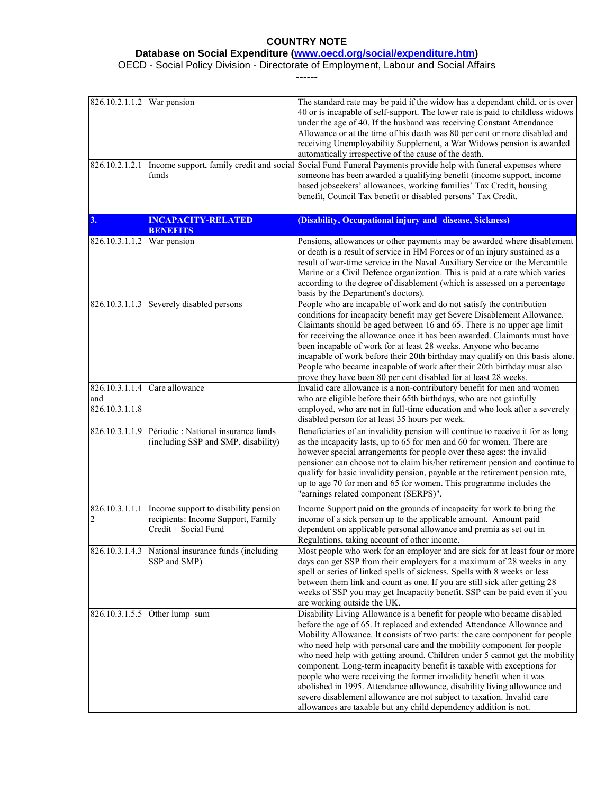**Database on Social Expenditure [\(www.oecd.org/social/expenditure.htm\)](http://www.oecd.org/social/expenditure.htm)**

OECD - Social Policy Division - Directorate of Employment, Labour and Social Affairs

------

| 826.10.2.1.1.2 War pension |                                                                                                                   | The standard rate may be paid if the widow has a dependant child, or is over<br>40 or is incapable of self-support. The lower rate is paid to childless widows<br>under the age of 40. If the husband was receiving Constant Attendance<br>Allowance or at the time of his death was 80 per cent or more disabled and<br>receiving Unemployability Supplement, a War Widows pension is awarded<br>automatically irrespective of the cause of the death.                                                                                                                                                                                                                                                                                                               |
|----------------------------|-------------------------------------------------------------------------------------------------------------------|-----------------------------------------------------------------------------------------------------------------------------------------------------------------------------------------------------------------------------------------------------------------------------------------------------------------------------------------------------------------------------------------------------------------------------------------------------------------------------------------------------------------------------------------------------------------------------------------------------------------------------------------------------------------------------------------------------------------------------------------------------------------------|
|                            | funds                                                                                                             | 826.10.2.1.2.1 Income support, family credit and social Social Fund Funeral Payments provide help with funeral expenses where<br>someone has been awarded a qualifying benefit (income support, income<br>based jobseekers' allowances, working families' Tax Credit, housing<br>benefit, Council Tax benefit or disabled persons' Tax Credit.                                                                                                                                                                                                                                                                                                                                                                                                                        |
| 3.                         | <b>INCAPACITY-RELATED</b><br><b>BENEFITS</b>                                                                      | (Disability, Occupational injury and disease, Sickness)                                                                                                                                                                                                                                                                                                                                                                                                                                                                                                                                                                                                                                                                                                               |
| 826.10.3.1.1.2 War pension |                                                                                                                   | Pensions, allowances or other payments may be awarded where disablement<br>or death is a result of service in HM Forces or of an injury sustained as a<br>result of war-time service in the Naval Auxiliary Service or the Mercantile<br>Marine or a Civil Defence organization. This is paid at a rate which varies<br>according to the degree of disablement (which is assessed on a percentage<br>basis by the Department's doctors).                                                                                                                                                                                                                                                                                                                              |
|                            | 826.10.3.1.1.3 Severely disabled persons                                                                          | People who are incapable of work and do not satisfy the contribution<br>conditions for incapacity benefit may get Severe Disablement Allowance.<br>Claimants should be aged between 16 and 65. There is no upper age limit<br>for receiving the allowance once it has been awarded. Claimants must have<br>been incapable of work for at least 28 weeks. Anyone who became<br>incapable of work before their 20th birthday may qualify on this basis alone.<br>People who became incapable of work after their 20th birthday must also<br>prove they have been 80 per cent disabled for at least 28 weeks.                                                                                                                                                            |
| and<br>826.10.3.1.1.8      | 826.10.3.1.1.4 Care allowance                                                                                     | Invalid care allowance is a non-contributory benefit for men and women<br>who are eligible before their 65th birthdays, who are not gainfully<br>employed, who are not in full-time education and who look after a severely<br>disabled person for at least 35 hours per week.                                                                                                                                                                                                                                                                                                                                                                                                                                                                                        |
|                            | 826.10.3.1.1.9 Périodic : National insurance funds<br>(including SSP and SMP, disability)                         | Beneficiaries of an invalidity pension will continue to receive it for as long<br>as the incapacity lasts, up to 65 for men and 60 for women. There are<br>however special arrangements for people over these ages: the invalid<br>pensioner can choose not to claim his/her retirement pension and continue to<br>qualify for basic invalidity pension, payable at the retirement pension rate,<br>up to age 70 for men and 65 for women. This programme includes the<br>"earnings related component (SERPS)".                                                                                                                                                                                                                                                       |
| 2                          | 826.10.3.1.1.1 Income support to disability pension<br>recipients: Income Support, Family<br>Credit + Social Fund | Income Support paid on the grounds of incapacity for work to bring the<br>income of a sick person up to the applicable amount. Amount paid<br>dependent on applicable personal allowance and premia as set out in<br>Regulations, taking account of other income.                                                                                                                                                                                                                                                                                                                                                                                                                                                                                                     |
|                            | 826.10.3.1.4.3 National insurance funds (including<br>SSP and SMP)                                                | Most people who work for an employer and are sick for at least four or more<br>days can get SSP from their employers for a maximum of 28 weeks in any<br>spell or series of linked spells of sickness. Spells with 8 weeks or less<br>between them link and count as one. If you are still sick after getting 28<br>weeks of SSP you may get Incapacity benefit. SSP can be paid even if you<br>are working outside the UK.                                                                                                                                                                                                                                                                                                                                           |
|                            | 826.10.3.1.5.5 Other lump sum                                                                                     | Disability Living Allowance is a benefit for people who became disabled<br>before the age of 65. It replaced and extended Attendance Allowance and<br>Mobility Allowance. It consists of two parts: the care component for people<br>who need help with personal care and the mobility component for people<br>who need help with getting around. Children under 5 cannot get the mobility<br>component. Long-term incapacity benefit is taxable with exceptions for<br>people who were receiving the former invalidity benefit when it was<br>abolished in 1995. Attendance allowance, disability living allowance and<br>severe disablement allowance are not subject to taxation. Invalid care<br>allowances are taxable but any child dependency addition is not. |